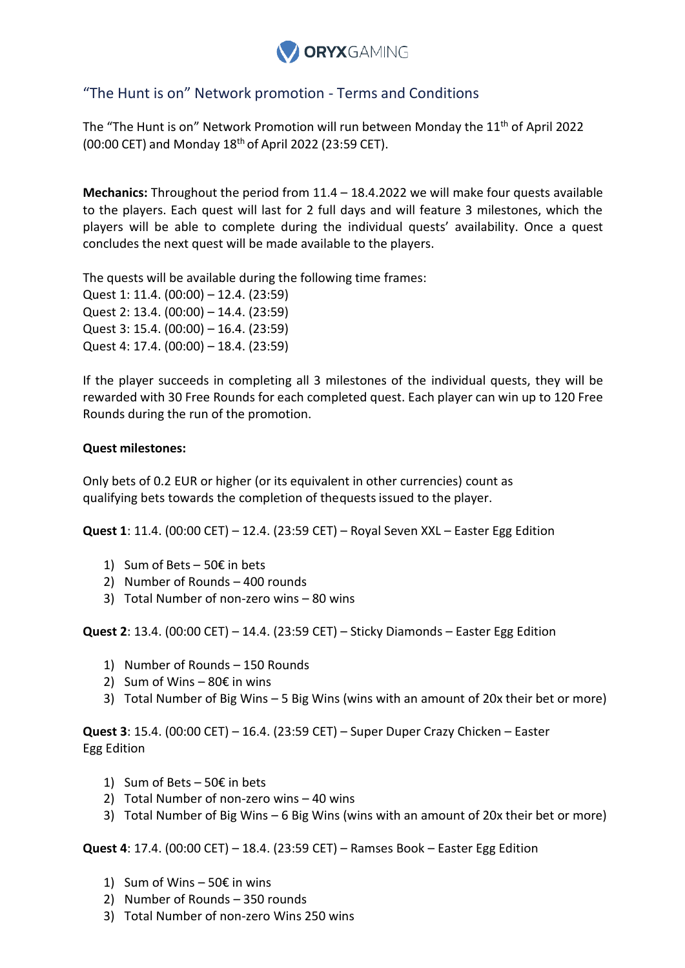

# "The Hunt is on" Network promotion - Terms and Conditions

The "The Hunt is on" Network Promotion will run between Monday the 11<sup>th</sup> of April 2022 (00:00 CET) and Monday  $18^{th}$  of April 2022 (23:59 CET).

**Mechanics:** Throughout the period from 11.4 – 18.4.2022 we will make four quests available to the players. Each quest will last for 2 full days and will feature 3 milestones, which the players will be able to complete during the individual quests' availability. Once a quest concludes the next quest will be made available to the players.

The quests will be available during the following time frames: Quest 1: 11.4. (00:00) – 12.4. (23:59) Quest 2: 13.4. (00:00) – 14.4. (23:59) Quest 3: 15.4. (00:00) – 16.4. (23:59) Quest 4: 17.4. (00:00) – 18.4. (23:59)

If the player succeeds in completing all 3 milestones of the individual quests, they will be rewarded with 30 Free Rounds for each completed quest. Each player can win up to 120 Free Rounds during the run of the promotion.

#### **Quest milestones:**

Only bets of 0.2 EUR or higher (or its equivalent in other currencies) count as qualifying bets towards the completion of thequestsissued to the player.

**Quest 1**: 11.4. (00:00 CET) – 12.4. (23:59 CET) – Royal Seven XXL – Easter Egg Edition

- 1) Sum of Bets 50€ in bets
- 2) Number of Rounds 400 rounds
- 3) Total Number of non-zero wins 80 wins

**Quest 2**: 13.4. (00:00 CET) – 14.4. (23:59 CET) – Sticky Diamonds – Easter Egg Edition

- 1) Number of Rounds 150 Rounds
- 2) Sum of Wins 80 $\varepsilon$  in wins
- 3) Total Number of Big Wins 5 Big Wins (wins with an amount of 20x their bet or more)

**Quest 3**: 15.4. (00:00 CET) – 16.4. (23:59 CET) – Super Duper Crazy Chicken – Easter Egg Edition

- 1) Sum of Bets 50 $\varepsilon$  in bets
- 2) Total Number of non-zero wins 40 wins
- 3) Total Number of Big Wins 6 Big Wins (wins with an amount of 20x their bet or more)

**Quest 4**: 17.4. (00:00 CET) – 18.4. (23:59 CET) – Ramses Book – Easter Egg Edition

- 1) Sum of Wins 50 $\varepsilon$  in wins
- 2) Number of Rounds 350 rounds
- 3) Total Number of non-zero Wins 250 wins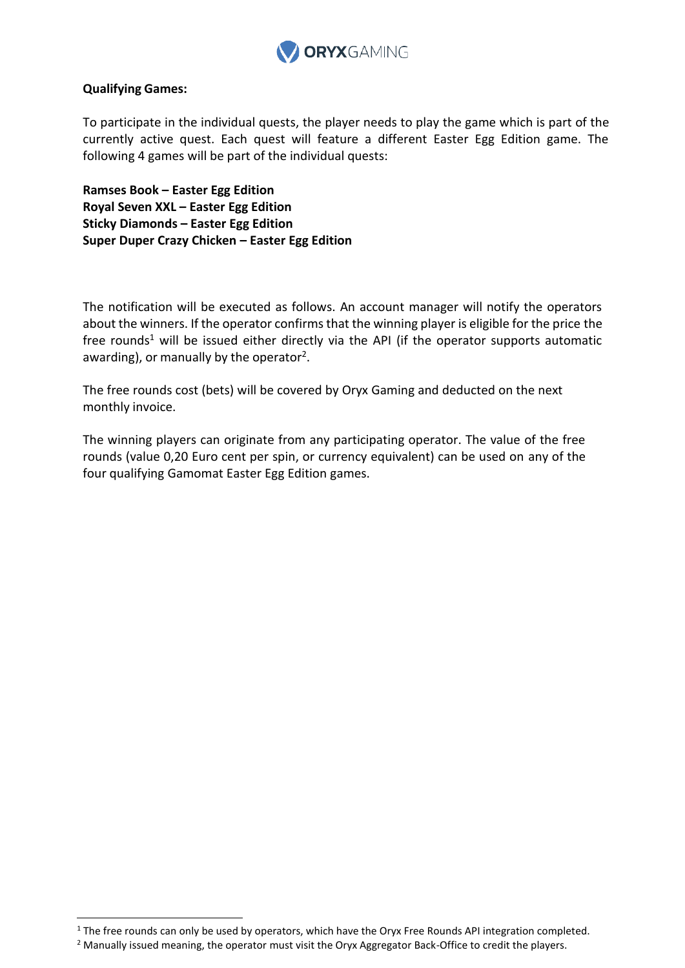

## **Qualifying Games:**

To participate in the individual quests, the player needs to play the game which is part of the currently active quest. Each quest will feature a different Easter Egg Edition game. The following 4 games will be part of the individual quests:

**Ramses Book – Easter Egg Edition Royal Seven XXL – Easter Egg Edition Sticky Diamonds – Easter Egg Edition Super Duper Crazy Chicken – Easter Egg Edition**

The notification will be executed as follows. An account manager will notify the operators about the winners. If the operator confirms that the winning player is eligible for the price the free rounds<sup>1</sup> will be issued either directly via the API (if the operator supports automatic awarding), or manually by the operator<sup>2</sup>.

The free rounds cost (bets) will be covered by Oryx Gaming and deducted on the next monthly invoice.

The winning players can originate from any participating operator. The value of the free rounds (value 0,20 Euro cent per spin, or currency equivalent) can be used on any of the four qualifying Gamomat Easter Egg Edition games.

<sup>&</sup>lt;sup>1</sup> The free rounds can only be used by operators, which have the Oryx Free Rounds API integration completed.

<sup>&</sup>lt;sup>2</sup> Manually issued meaning, the operator must visit the Oryx Aggregator Back-Office to credit the players.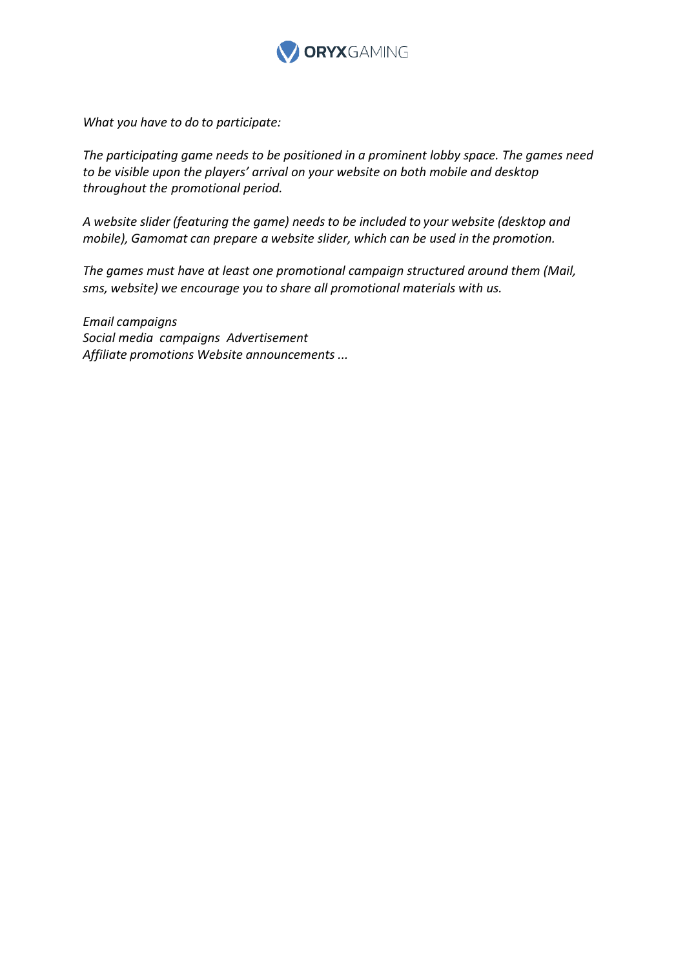

*What you have to do to participate:*

*The participating game needs to be positioned in a prominent lobby space. The games need to be visible upon the players' arrival on your website on both mobile and desktop throughout the promotional period.*

*A website slider (featuring the game) needsto be included to your website (desktop and mobile), Gamomat can prepare a website slider, which can be used in the promotion.*

*The games must have at least one promotional campaign structured around them (Mail, sms, website) we encourage you to share all promotional materials with us.*

*Email campaigns Social media campaigns Advertisement Affiliate promotions Website announcements ...*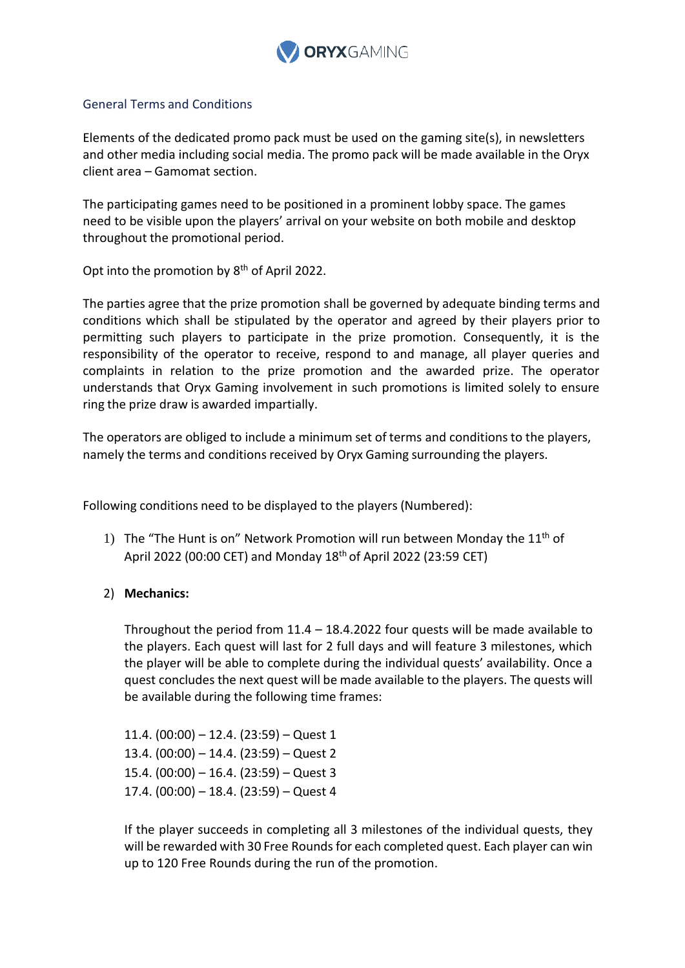

## General Terms and Conditions

Elements of the dedicated promo pack must be used on the gaming site(s), in newsletters and other media including social media. The promo pack will be made available in the Oryx client area – Gamomat section.

The participating games need to be positioned in a prominent lobby space. The games need to be visible upon the players' arrival on your website on both mobile and desktop throughout the promotional period.

Opt into the promotion by  $8^{\text{th}}$  of April 2022.

The parties agree that the prize promotion shall be governed by adequate binding terms and conditions which shall be stipulated by the operator and agreed by their players prior to permitting such players to participate in the prize promotion. Consequently, it is the responsibility of the operator to receive, respond to and manage, all player queries and complaints in relation to the prize promotion and the awarded prize. The operator understands that Oryx Gaming involvement in such promotions is limited solely to ensure ring the prize draw is awarded impartially.

The operators are obliged to include a minimum set of terms and conditions to the players, namely the terms and conditions received by Oryx Gaming surrounding the players.

Following conditions need to be displayed to the players (Numbered):

1) The "The Hunt is on" Network Promotion will run between Monday the  $11<sup>th</sup>$  of April 2022 (00:00 CET) and Monday 18<sup>th</sup> of April 2022 (23:59 CET)

#### 2) **Mechanics:**

Throughout the period from  $11.4 - 18.4.2022$  four quests will be made available to the players. Each quest will last for 2 full days and will feature 3 milestones, which the player will be able to complete during the individual quests' availability. Once a quest concludes the next quest will be made available to the players. The quests will be available during the following time frames:

11.4. (00:00) – 12.4. (23:59) – Quest 1 13.4. (00:00) – 14.4. (23:59) – Quest 2 15.4. (00:00) – 16.4. (23:59) – Quest 3 17.4. (00:00) – 18.4. (23:59) – Quest 4

If the player succeeds in completing all 3 milestones of the individual quests, they will be rewarded with 30 Free Rounds for each completed quest. Each player can win up to 120 Free Rounds during the run of the promotion.